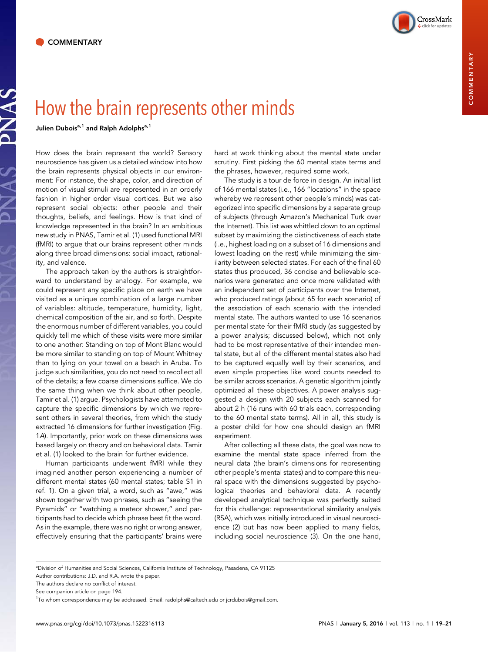

Julien Dubois<sup>a,1</sup> and Ralph Adolphs<sup>a,1</sup>

How does the brain represent the world? Sensory neuroscience has given us a detailed window into how the brain represents physical objects in our environment: For instance, the shape, color, and direction of motion of visual stimuli are represented in an orderly fashion in higher order visual cortices. But we also represent social objects: other people and their thoughts, beliefs, and feelings. How is that kind of knowledge represented in the brain? In an ambitious new study in PNAS, Tamir et al. (1) used functional MRI (fMRI) to argue that our brains represent other minds along three broad dimensions: social impact, rationality, and valence.

The approach taken by the authors is straightforward to understand by analogy. For example, we could represent any specific place on earth we have visited as a unique combination of a large number of variables: altitude, temperature, humidity, light, chemical composition of the air, and so forth. Despite the enormous number of different variables, you could quickly tell me which of these visits were more similar to one another: Standing on top of Mont Blanc would be more similar to standing on top of Mount Whitney than to lying on your towel on a beach in Aruba. To judge such similarities, you do not need to recollect all of the details; a few coarse dimensions suffice. We do the same thing when we think about other people, Tamir et al. (1) argue. Psychologists have attempted to capture the specific dimensions by which we represent others in several theories, from which the study extracted 16 dimensions for further investigation (Fig. 1A). Importantly, prior work on these dimensions was based largely on theory and on behavioral data. Tamir et al. (1) looked to the brain for further evidence.

Human participants underwent fMRI while they imagined another person experiencing a number of different mental states (60 mental states; table S1 in ref. 1). On a given trial, a word, such as "awe," was shown together with two phrases, such as "seeing the Pyramids" or "watching a meteor shower," and participants had to decide which phrase best fit the word. As in the example, there was no right or wrong answer, effectively ensuring that the participants' brains were

hard at work thinking about the mental state under scrutiny. First picking the 60 mental state terms and the phrases, however, required some work.

The study is a tour de force in design. An initial list of 166 mental states (i.e., 166 "locations" in the space whereby we represent other people's minds) was categorized into specific dimensions by a separate group of subjects (through Amazon's Mechanical Turk over the Internet). This list was whittled down to an optimal subset by maximizing the distinctiveness of each state (i.e., highest loading on a subset of 16 dimensions and lowest loading on the rest) while minimizing the similarity between selected states. For each of the final 60 states thus produced, 36 concise and believable scenarios were generated and once more validated with an independent set of participants over the Internet, who produced ratings (about 65 for each scenario) of the association of each scenario with the intended mental state. The authors wanted to use 16 scenarios per mental state for their fMRI study (as suggested by a power analysis; discussed below), which not only had to be most representative of their intended mental state, but all of the different mental states also had to be captured equally well by their scenarios, and even simple properties like word counts needed to be similar across scenarios. A genetic algorithm jointly optimized all these objectives. A power analysis suggested a design with 20 subjects each scanned for about 2 h (16 runs with 60 trials each, corresponding to the 60 mental state terms). All in all, this study is a poster child for how one should design an fMRI experiment.

After collecting all these data, the goal was now to examine the mental state space inferred from the neural data (the brain's dimensions for representing other people's mental states) and to compare this neural space with the dimensions suggested by psychological theories and behavioral data. A recently developed analytical technique was perfectly suited for this challenge: representational similarity analysis (RSA), which was initially introduced in visual neuroscience (2) but has now been applied to many fields, including social neuroscience (3). On the one hand,

a Division of Humanities and Social Sciences, California Institute of Technology, Pasadena, CA 91125

Author contributions: J.D. and R.A. wrote the paper.

The authors declare no conflict of interest.

See companion article on page 194.

<sup>1</sup> To whom correspondence may be addressed. Email: [radolphs@caltech.edu](mailto:radolphs@caltech.edu) or [jcrdubois@gmail.com](mailto:jcrdubois@gmail.com).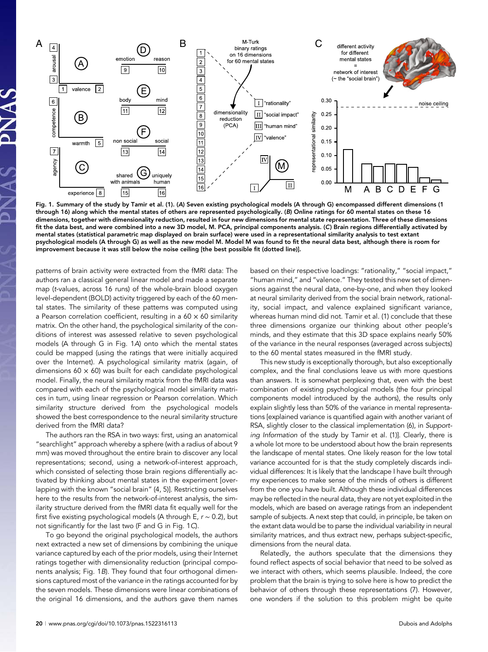

Fig. 1. Summary of the study by Tamir et al. (1). (A) Seven existing psychological models (A through G) encompassed different dimensions (1 through 16) along which the mental states of others are represented psychologically. (B) Online ratings for 60 mental states on these 16 dimensions, together with dimensionality reduction, resulted in four new dimensions for mental state representation. Three of these dimensions fit the data best, and were combined into a new 3D model, M. PCA, principal components analysis. (C) Brain regions differentially activated by mental states (statistical parametric map displayed on brain surface) were used in a representational similarity analysis to test extant psychological models (A through G) as well as the new model M. Model M was found to fit the neural data best, although there is room for improvement because it was still below the noise ceiling [the best possible fit (dotted line)].

patterns of brain activity were extracted from the fMRI data: The authors ran a classical general linear model and made a separate map (t-values, across 16 runs) of the whole-brain blood oxygen level-dependent (BOLD) activity triggered by each of the 60 mental states. The similarity of these patterns was computed using a Pearson correlation coefficient, resulting in a  $60 \times 60$  similarity matrix. On the other hand, the psychological similarity of the conditions of interest was assessed relative to seven psychological models (A through G in Fig. 1A) onto which the mental states could be mapped (using the ratings that were initially acquired over the Internet). A psychological similarity matrix (again, of dimensions  $60 \times 60$ ) was built for each candidate psychological model. Finally, the neural similarity matrix from the fMRI data was compared with each of the psychological model similarity matrices in turn, using linear regression or Pearson correlation. Which similarity structure derived from the psychological models showed the best correspondence to the neural similarity structure derived from the fMRI data?

The authors ran the RSA in two ways: first, using an anatomical "searchlight" approach whereby a sphere (with a radius of about 9 mm) was moved throughout the entire brain to discover any local representations; second, using a network-of-interest approach, which consisted of selecting those brain regions differentially activated by thinking about mental states in the experiment [overlapping with the known "social brain" (4, 5)]. Restricting ourselves here to the results from the network-of-interest analysis, the similarity structure derived from the fMRI data fit equally well for the first five existing psychological models (A through E, r ∼ 0.2), but not significantly for the last two (F and G in Fig. 1C).

To go beyond the original psychological models, the authors next extracted a new set of dimensions by combining the unique variance captured by each of the prior models, using their Internet ratings together with dimensionality reduction (principal components analysis; Fig. 1B). They found that four orthogonal dimensions captured most of the variance in the ratings accounted for by the seven models. These dimensions were linear combinations of the original 16 dimensions, and the authors gave them names

based on their respective loadings: "rationality," "social impact," "human mind," and "valence." They tested this new set of dimensions against the neural data, one-by-one, and when they looked at neural similarity derived from the social brain network, rationality, social impact, and valence explained significant variance, whereas human mind did not. Tamir et al. (1) conclude that these three dimensions organize our thinking about other people's minds, and they estimate that this 3D space explains nearly 50% of the variance in the neural responses (averaged across subjects) to the 60 mental states measured in the fMRI study.

This new study is exceptionally thorough, but also exceptionally complex, and the final conclusions leave us with more questions than answers. It is somewhat perplexing that, even with the best combination of existing psychological models (the four principal components model introduced by the authors), the results only explain slightly less than 50% of the variance in mental representations [explained variance is quantified again with another variant of RSA, slightly closer to the classical implementation (6), in Supporting Information of the study by Tamir et al. (1)]. Clearly, there is a whole lot more to be understood about how the brain represents the landscape of mental states. One likely reason for the low total variance accounted for is that the study completely discards individual differences: It is likely that the landscape I have built through my experiences to make sense of the minds of others is different from the one you have built. Although these individual differences may be reflected in the neural data, they are not yet exploited in the models, which are based on average ratings from an independent sample of subjects. A next step that could, in principle, be taken on the extant data would be to parse the individual variability in neural similarity matrices, and thus extract new, perhaps subject-specific, dimensions from the neural data.

Relatedly, the authors speculate that the dimensions they found reflect aspects of social behavior that need to be solved as we interact with others, which seems plausible. Indeed, the core problem that the brain is trying to solve here is how to predict the behavior of others through these representations (7). However, one wonders if the solution to this problem might be quite